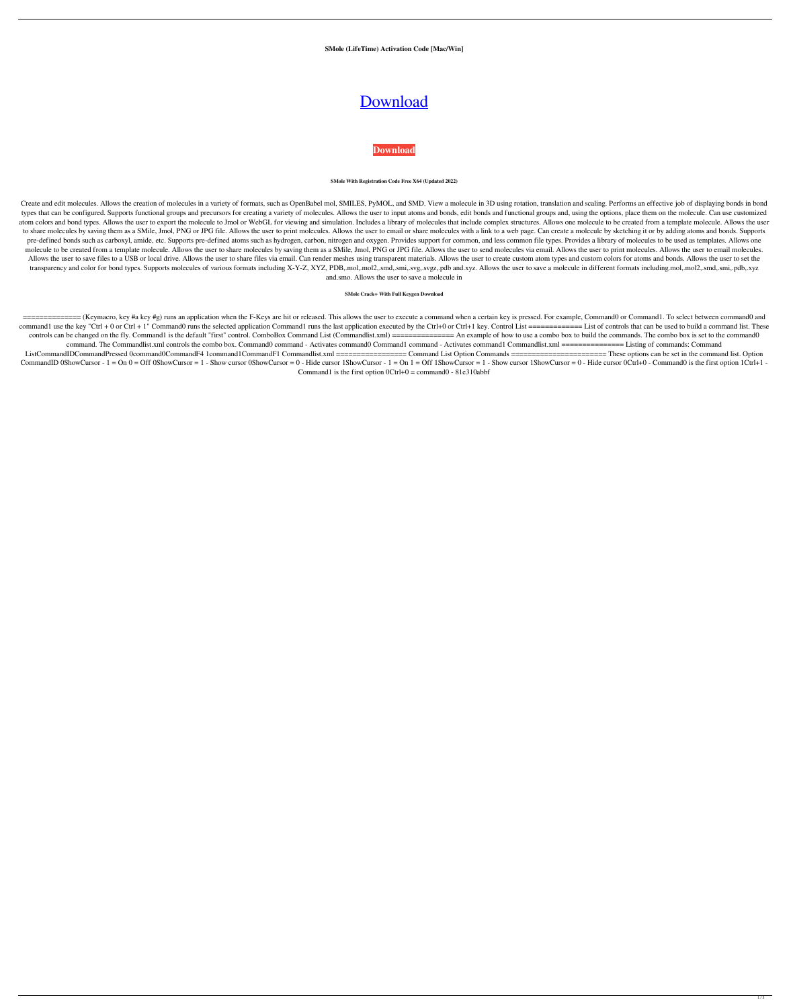**SMole (LifeTime) Activation Code [Mac/Win]**

# [Download](http://evacdir.com/groeninghe/cancelable.chena.U01vbGUU01/discoloring/ZG93bmxvYWR8ajY4YTJGbWZId3hOalUwTkRNMk5qVTRmSHd5TlRrd2ZId29UU2tnVjI5eVpIQnlaWE56SUZ0WVRVeFNVRU1nVmpJZ1VFUkdYUQ/edure.fvre)

**[Download](http://evacdir.com/groeninghe/cancelable.chena.U01vbGUU01/discoloring/ZG93bmxvYWR8ajY4YTJGbWZId3hOalUwTkRNMk5qVTRmSHd5TlRrd2ZId29UU2tnVjI5eVpIQnlaWE56SUZ0WVRVeFNVRU1nVmpJZ1VFUkdYUQ/edure.fvre)**

#### **SMole With Registration Code Free X64 (Updated 2022)**

Create and edit molecules. Allows the creation of molecules in a variety of formats, such as OpenBabel mol, SMILES, PyMOL, and SMD. View a molecule in 3D using rotation, translation and scaling. Performs an effective job o types that can be configured. Supports functional groups and precursors for creating a variety of molecules. Allows the user to input atoms and bonds, edit bonds and functional groups and, using the options, place them on atom colors and bond types. Allows the user to export the molecule to Jmol or WebGL for viewing and simulation. Includes a library of molecules that include complex structures. Allows one molecule to be created from a temp to share molecules by saving them as a SMile, Jmol, PNG or JPG file. Allows the user to print molecules. Allows the user to email or share molecules with a link to a web page. Can create a molecule by sketching it or by ad pre-defined bonds such as carboxyl, amide, etc. Supports pre-defined atoms such as hydrogen, carbon, nitrogen and oxygen. Provides support for common, and less common file types. Provides a library of molecules to be used molecule to be created from a template molecule. Allows the user to share molecules by saving them as a SMile, Jmol, PNG or JPG file. Allows the user to send molecules via email. Allows the user to print molecules. Allows Allows the user to save files to a USB or local drive. Allows the user to share files via email. Can render meshes using transparent materials. Allows the user to create custom atom types and custom colors for atoms and bo transparency and color for bond types. Supports molecules of various formats including X-Y-Z, XYZ, PDB,.mol,.mol2,.smd,.smi,.svg,.svgz,.pdb and.xyz. Allows the user to save a molecule in different formats including.mol,.mo and.smo. Allows the user to save a molecule in

============== (Keymacro, key #a key #g) runs an application when the F-Keys are hit or released. This allows the user to execute a command when a certain key is pressed. For example, Command0 or Command1. To select between command0 and command1 use the key "Ctrl + 0 or Ctrl + 1" Command0 runs the selected application Command1 runs the last application executed by the Ctrl+0 or Ctrl+1 key. Control List ============= List of controls that can be used to bu controls can be changed on the fly. Command1 is the default "first" control. ComboBox Command List (Commandlist.xml) =========== An example of how to use a combo box to build the commands. The combo box is set to the comma command. The Commandlist.xml controls the combo box. Command0 command - Activates command1 command - Activates command1 Commandlist.xml ================ Listing of commands: Command ListCommandIDCommandPressed 0command0CommandF4 1command1CommandF1 Commandlist.xml ================= Command List Option Commands ======================= These options can be set in the command list. Option CommandID 0ShowCursor - 1 = On 0 = Off 0ShowCursor = 1 - Show cursor 0ShowCursor = 0 - Hide cursor 1ShowCursor = 1 - Show cursor 1ShowCursor = 0 - Hide cursor 0Ctrl+0 - Command0 is the first option 1Ctrl+1 -Command1 is the first option  $0$ Ctrl+0 = command0 - 81e310abbf

#### **SMole Crack+ With Full Keygen Download**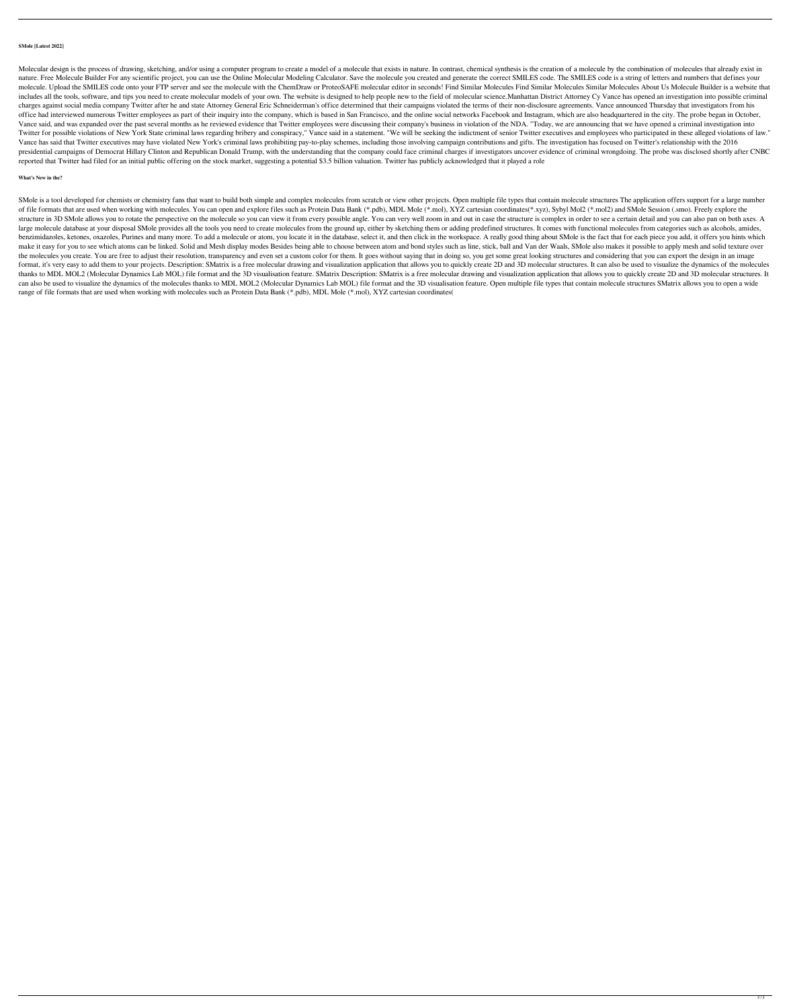### **SMole [Latest 2022]**

Molecular design is the process of drawing, sketching, and/or using a computer program to create a model of a molecule that exists in nature. In contrast, chemical synthesis is the creation of a molecule by the combination nature. Free Molecule Builder For any scientific project, you can use the Online Molecular Modeling Calculator. Save the molecule you created and generate the correct SMILES code. The SMILES code is a string of letters and molecule. Upload the SMILES code onto your FTP server and see the molecule with the ChemDraw or ProteoSAFE molecular editor in seconds! Find Similar Molecules Similar Molecules About Us Molecule Builder is a website that includes all the tools, software, and tips you need to create molecular models of your own. The website is designed to help people new to the field of molecular science. Manhattan District Attorney Cy Vance has opened an i charges against social media company Twitter after he and state Attorney General Eric Schneiderman's office determined that their campaigns violated the terms of their non-disclosure agreements. Vance announced Thursday th office had interviewed numerous Twitter employees as part of their inquiry into the company, which is based in San Francisco, and the online social networks Facebook and Instagram, which are also headquartered in the city. Vance said, and was expanded over the past several months as he reviewed evidence that Twitter employees were discussing their company's business in violation of the NDA. "Today, we are announcing that we have opened a cri Twitter for possible violations of New York State criminal laws regarding bribery and conspiracy," Vance said in a statement. "We will be seeking the indictment of senior Twitter executives and employees who participated i Vance has said that Twitter executives may have violated New York's criminal laws prohibiting pay-to-play schemes, including those involving campaign contributions and gifts. The investigation has focused on Twitter's rela presidential campaigns of Democrat Hillary Clinton and Republican Donald Trump, with the understanding that the company could face criminal charges if investigators uncover evidence of criminal wrongdoing. The probe was di reported that Twitter had filed for an initial public offering on the stock market, suggesting a potential \$3.5 billion valuation. Twitter has publicly acknowledged that it played a role

SMole is a tool developed for chemists or chemistry fans that want to build both simple and complex molecules from scratch or view other projects. Open multiple file types that contain molecule structures The application o of file formats that are used when working with molecules. You can open and explore files such as Protein Data Bank (\*.pdb), MDL Mole (\*.mol), XYZ cartesian coordinates(\*.xyz), Sybyl Mol2 (\*.mol2) and SMole Session (.smo). structure in 3D SMole allows you to rotate the perspective on the molecule so you can view it from every possible angle. You can very well zoom in and out in case the structure is complex in order to see a certain detail a large molecule database at your disposal SMole provides all the tools you need to create molecules from the ground up, either by sketching them or adding predefined structures. It comes with functional molecules from categ benzimidazoles, ketones, oxazoles, Purines and many more. To add a molecule or atom, you locate it in the database, select it, and then click in the workspace. A really good thing about SMole is the fact that for each piec make it easy for you to see which atoms can be linked. Solid and Mesh display modes Besides being able to choose between atom and bond styles such as line, stick, ball and Van der Waals, SMole also makes it possible to app the molecules you create. You are free to adjust their resolution, transparency and even set a custom color for them. It goes without saying that in doing so, you get some great looking structures and considering that you format, it's very easy to add them to your projects. Description: SMatrix is a free molecular drawing and visualization application that allows you to quickly create 2D and 3D molecular structures. It can also be used to v thanks to MDL MOL2 (Molecular Dynamics Lab MOL) file format and the 3D visualisation feature. SMatrix Description: SMatrix is a free molecular drawing and visualization application that allows you to quickly create 2D and can also be used to visualize the dynamics of the molecules thanks to MDL MOL2 (Molecular Dynamics Lab MOL) file format and the 3D visualisation feature. Open multiple file types that contain molecule structures SMatrix al range of file formats that are used when working with molecules such as Protein Data Bank (\*.pdb), MDL Mole (\*.mol), XYZ cartesian coordinates(

## **What's New in the?**